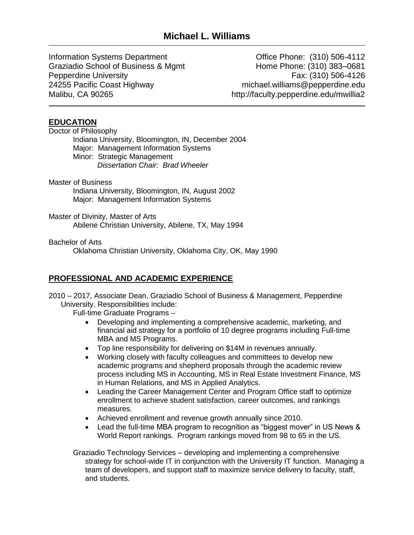Information Systems Department Graziadio School of Business & Mgmt Pepperdine University 24255 Pacific Coast Highway Malibu, CA 90265

Office Phone: (310) 506-4112 Home Phone: (310) 383–0681 Fax: (310) 506-4126 michael.williams@pepperdine.edu http://faculty.pepperdine.edu/mwillia2

# **EDUCATION**

Doctor of Philosophy Indiana University, Bloomington, IN, December 2004 Major: Management Information Systems Minor: Strategic Management *Dissertation Chair: Brad Wheeler*

Master of Business Indiana University, Bloomington, IN, August 2002 Major: Management Information Systems

### Master of Divinity, Master of Arts Abilene Christian University, Abilene, TX, May 1994

Bachelor of Arts

Oklahoma Christian University, Oklahoma City, OK, May 1990

# **PROFESSIONAL AND ACADEMIC EXPERIENCE**

2010 – 2017, Associate Dean, Graziadio School of Business & Management, Pepperdine University. Responsibilities include:

Full-time Graduate Programs –

- Developing and implementing a comprehensive academic, marketing, and financial aid strategy for a portfolio of 10 degree programs including Full-time MBA and MS Programs.
- Top line responsibility for delivering on \$14M in revenues annually.
- Working closely with faculty colleagues and committees to develop new academic programs and shepherd proposals through the academic review process including MS in Accounting, MS in Real Estate Investment Finance, MS in Human Relations, and MS in Applied Analytics.
- Leading the Career Management Center and Program Office staff to optimize enrollment to achieve student satisfaction, career outcomes, and rankings measures.
- Achieved enrollment and revenue growth annually since 2010.
- Lead the full-time MBA program to recognition as "biggest mover" in US News & World Report rankings. Program rankings moved from 98 to 65 in the US.

Graziadio Technology Services – developing and implementing a comprehensive strategy for school-wide IT in conjunction with the University IT function. Managing a team of developers, and support staff to maximize service delivery to faculty, staff, and students.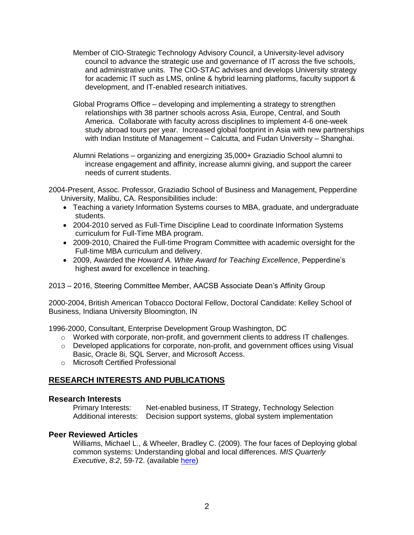- Member of CIO-Strategic Technology Advisory Council, a University-level advisory council to advance the strategic use and governance of IT across the five schools, and administrative units. The CIO-STAC advises and develops University strategy for academic IT such as LMS, online & hybrid learning platforms, faculty support & development, and IT-enabled research initiatives.
- Global Programs Office developing and implementing a strategy to strengthen relationships with 38 partner schools across Asia, Europe, Central, and South America. Collaborate with faculty across disciplines to implement 4-6 one-week study abroad tours per year. Increased global footprint in Asia with new partnerships with Indian Institute of Management – Calcutta, and Fudan University – Shanghai.

Alumni Relations – organizing and energizing 35,000+ Graziadio School alumni to increase engagement and affinity, increase alumni giving, and support the career needs of current students.

2004-Present, Assoc. Professor, Graziadio School of Business and Management, Pepperdine University, Malibu, CA. Responsibilities include:

- Teaching a variety Information Systems courses to MBA, graduate, and undergraduate students.
- 2004-2010 served as Full-Time Discipline Lead to coordinate Information Systems curriculum for Full-Time MBA program.
- 2009-2010, Chaired the Full-time Program Committee with academic oversight for the Full-time MBA curriculum and delivery.
- 2009, Awarded the *Howard A. White Award for Teaching Excellence*, Pepperdine's highest award for excellence in teaching.

2013 – 2016, Steering Committee Member, AACSB Associate Dean's Affinity Group

2000-2004, British American Tobacco Doctoral Fellow, Doctoral Candidate: Kelley School of Business, Indiana University Bloomington, IN

1996-2000, Consultant, Enterprise Development Group Washington, DC

- o Worked with corporate, non-profit, and government clients to address IT challenges.
- o Developed applications for corporate, non-profit, and government offices using Visual Basic, Oracle 8i, SQL Server, and Microsoft Access.
- o Microsoft Certified Professional

## **RESEARCH INTERESTS AND PUBLICATIONS**

#### **Research Interests**

Primary Interests: Net-enabled business, IT Strategy, Technology Selection Additional interests: Decision support systems, global system implementation

## **Peer Reviewed Articles**

Williams, Michael L., & Wheeler, Bradley C. (2009). The four faces of Deploying global common systems: Understanding global and local differences. *MIS Quarterly Executive*, *8:2*, 59-72. (available [here\)](http://misqe.org/ojs2/index.php/misqe/article/view/205)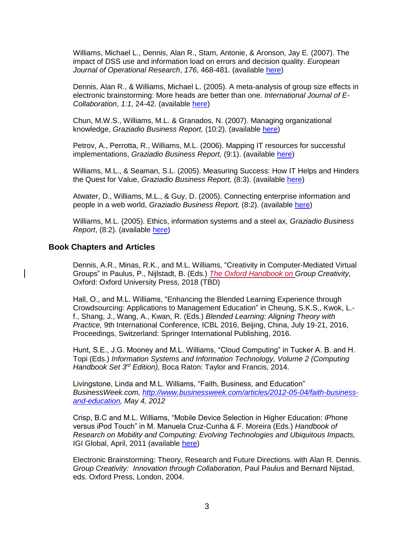Williams, Michael L., Dennis, Alan R., Stam, Antonie, & Aronson, Jay E. (2007). The impact of DSS use and information load on errors and decision quality. *European Journal of Operational Research*, *176*, 468-481. (available [here\)](http://www.sciencedirect.com/science?_ob=GatewayURL&_method=citationSearch&_uoikey=B6VCT-4HNSB38-5&_origin=SDEMFRHTML&_version=1&md5=e228a260f4d9d0cdbb5b412a02eac791)

Dennis, Alan R., & Williams, Michael L. (2005). A meta-analysis of group size effects in electronic brainstorming: More heads are better than one. *International Journal of E-Collaboration*, *1:1*, 24-42. (available [here\)](http://www.infosci-journals.com.lib.pepperdine.edu/content/details.asp?ID=6821)

Chun, M.W.S., Williams, M.L. & Granados, N. (2007). Managing organizational knowledge, *Graziadio Business Report,* (10:2). (available [here\)](http://gbr.pepperdine.edu/072/knowledge.html)

Petrov, A., Perrotta, R., Williams, M.L. (2006). Mapping IT resources for successful implementations, *Graziadio Business Report,* (9:1). (available [here\)](http://gbr.pepperdine.edu/061/mapping.html)

Williams, M.L., & Seaman, S.L. (2005). Measuring Success: How IT Helps and Hinders the Quest for Value, *Graziadio Business Report,* (8:3). (available [here\)](http://gbr.pepperdine.edu/054/itmatters.html)

Atwater, D., Williams, M.L., & Guy, D. (2005). Connecting enterprise information and people in a web world, *Graziadio Business Report,* (8:2). (available [here\)](http://gbr.pepperdine.edu/052/technology.html)

Williams, M.L. (2005). Ethics, information systems and a steel ax, *Graziadio Business Report*, (8:2). (available [here\)](http://gbr.pepperdine.edu/052/itmatters.html)

#### **Book Chapters and Articles**

Dennis, A.R., Minas, R.K., and M.L. Williams, "Creativity in Computer-Mediated Virtual Groups" in Paulus, P., Nijlstadt, B. (Eds.) *The Oxford Handbook on Group Creativity,* Oxford: Oxford University Press, 2018 (TBD)

Hall, O., and M.L. Williams, "Enhancing the Blended Learning Experience through Crowdsourcing: Applications to Management Education" in Cheung, S.K.S., Kwok, L. f., Shang, J., Wang, A., Kwan, R. (Eds.) *Blended Learning: Aligning Theory with Practice,* 9th International Conference, ICBL 2016, Beijing, China, July 19-21, 2016, Proceedings, Switzerland: Springer International Publishing, 2016.

Hunt, S.E., J.G. Mooney and M.L. Williams, "Cloud Computing" in Tucker A. B. and H. Topi (Eds.) *Information Systems and Information Technology, Volume 2 (Computing Handbook Set 3rd Edition),* Boca Raton: Taylor and Francis, 2014.

Livingstone, Linda and M.L. Williams, "Faith, Business, and Education" *BusinessWeek.com, [http://www.businessweek.com/articles/2012-05-04/faith-business](http://www.businessweek.com/articles/2012-05-04/faith-business-and-education)[and-education,](http://www.businessweek.com/articles/2012-05-04/faith-business-and-education) May 4, 2012*

Crisp, B.C and M.L. Williams, "Mobile Device Selection in Higher Education: iPhone versus iPod Touch" in M. Manuela Cruz-Cunha & F. Moreira (Eds.) *Handbook of Research on Mobility and Computing: Evolving Technologies and Ubiquitous Impacts,*  IGI Global, April, 2011 (available [here\)](http://www.igi-global.com/chapter/mobile-device-selection-higher-education/50649)

Electronic Brainstorming: Theory, Research and Future Directions. with Alan R. Dennis. *Group Creativity: Innovation through Collaboration,* Paul Paulus and Bernard Nijstad, eds. Oxford Press, London, 2004.